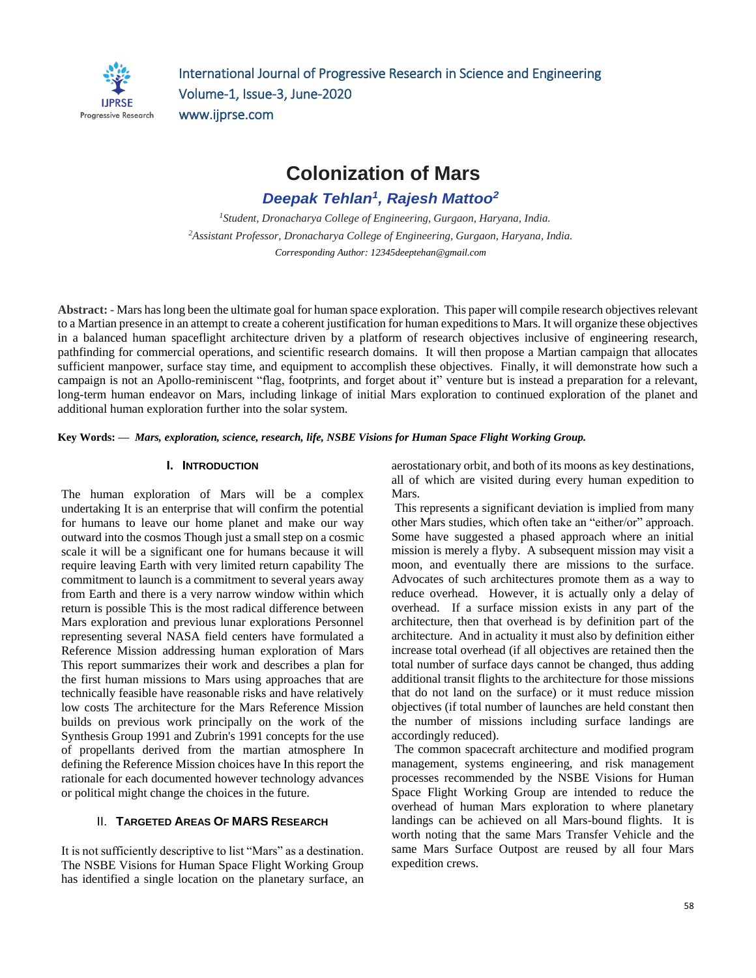

International Journal of Progressive Research in Science and Engineering Volume-1, Issue-3, June-2020 www.ijprse.com

**Colonization of Mars**

*Deepak Tehlan<sup>1</sup> , Rajesh Mattoo<sup>2</sup>*

*<sup>1</sup>Student, Dronacharya College of Engineering, Gurgaon, Haryana, India. <sup>2</sup>Assistant Professor, Dronacharya College of Engineering, Gurgaon, Haryana, India. Corresponding Author: [12345deeptehan@gmail.com](mailto:12345deeptehan@gmail.com)*

**Abstract: -** Mars haslong been the ultimate goal for human space exploration. This paper will compile research objectives relevant to a Martian presence in an attempt to create a coherent justification for human expeditions to Mars. It will organize these objectives in a balanced human spaceflight architecture driven by a platform of research objectives inclusive of engineering research, pathfinding for commercial operations, and scientific research domains. It will then propose a Martian campaign that allocates sufficient manpower, surface stay time, and equipment to accomplish these objectives. Finally, it will demonstrate how such a campaign is not an Apollo-reminiscent "flag, footprints, and forget about it" venture but is instead a preparation for a relevant, long-term human endeavor on Mars, including linkage of initial Mars exploration to continued exploration of the planet and additional human exploration further into the solar system.

**Key Words: —** *Mars, exploration, science, research, life, NSBE Visions for Human Space Flight Working Group.*

## **I. INTRODUCTION**

The human exploration of Mars will be a complex undertaking It is an enterprise that will confirm the potential for humans to leave our home planet and make our way outward into the cosmos Though just a small step on a cosmic scale it will be a significant one for humans because it will require leaving Earth with very limited return capability The commitment to launch is a commitment to several years away from Earth and there is a very narrow window within which return is possible This is the most radical difference between Mars exploration and previous lunar explorations Personnel representing several NASA field centers have formulated a Reference Mission addressing human exploration of Mars This report summarizes their work and describes a plan for the first human missions to Mars using approaches that are technically feasible have reasonable risks and have relatively low costs The architecture for the Mars Reference Mission builds on previous work principally on the work of the Synthesis Group 1991 and Zubrin's 1991 concepts for the use of propellants derived from the martian atmosphere In defining the Reference Mission choices have In this report the rationale for each documented however technology advances or political might change the choices in the future.

#### II. **TARGETED AREAS OF MARS RESEARCH**

It is not sufficiently descriptive to list "Mars" as a destination. The NSBE Visions for Human Space Flight Working Group has identified a single location on the planetary surface, an

aerostationary orbit, and both of its moons as key destinations, all of which are visited during every human expedition to Mars.

This represents a significant deviation is implied from many other Mars studies, which often take an "either/or" approach. Some have suggested a phased approach where an initial mission is merely a flyby. A subsequent mission may visit a moon, and eventually there are missions to the surface. Advocates of such architectures promote them as a way to reduce overhead. However, it is actually only a delay of overhead. If a surface mission exists in any part of the architecture, then that overhead is by definition part of the architecture. And in actuality it must also by definition either increase total overhead (if all objectives are retained then the total number of surface days cannot be changed, thus adding additional transit flights to the architecture for those missions that do not land on the surface) or it must reduce mission objectives (if total number of launches are held constant then the number of missions including surface landings are accordingly reduced).

The common spacecraft architecture and modified program management, systems engineering, and risk management processes recommended by the NSBE Visions for Human Space Flight Working Group are intended to reduce the overhead of human Mars exploration to where planetary landings can be achieved on all Mars-bound flights. It is worth noting that the same Mars Transfer Vehicle and the same Mars Surface Outpost are reused by all four Mars expedition crews.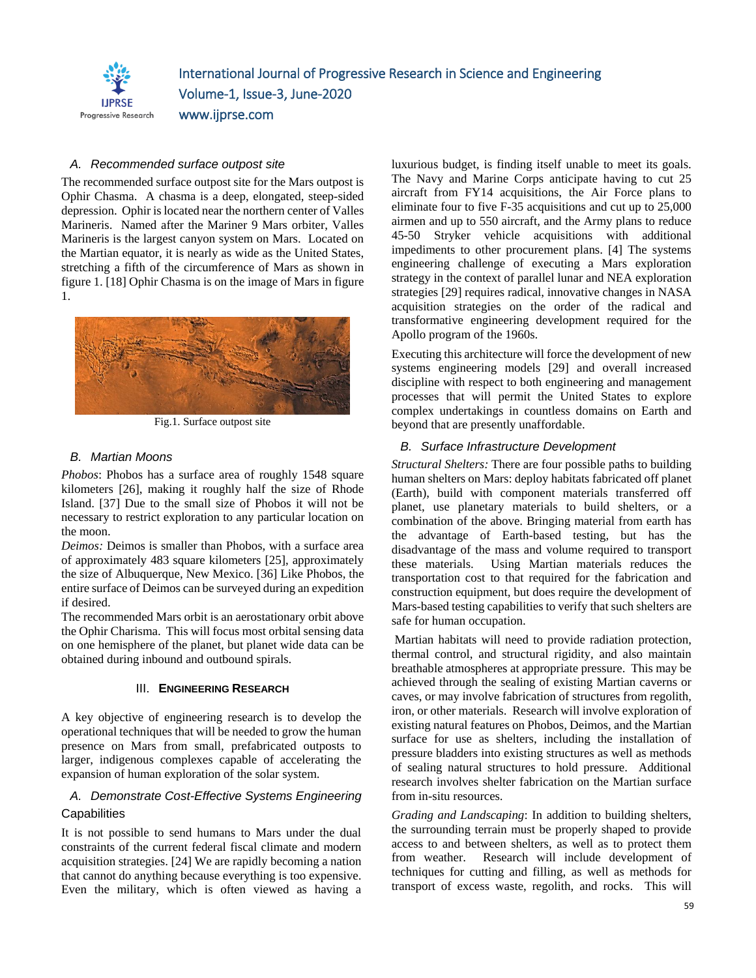

International Journal of Progressive Research in Science and Engineering Volume-1, Issue-3, June-2020 www.ijprse.com

### *A. Recommended surface outpost site*

The recommended surface outpost site for the Mars outpost is Ophir Chasma. A chasma is a deep, elongated, steep-sided depression. Ophir is located near the northern center of Valles Marineris. Named after the Mariner 9 Mars orbiter, Valles Marineris is the largest canyon system on Mars. Located on the Martian equator, it is nearly as wide as the United States, stretching a fifth of the circumference of Mars as shown in figure 1. [18] Ophir Chasma is on the image of Mars in figure 1.



Fig.1. Surface outpost site

#### *B. Martian Moons*

*Phobos*: Phobos has a surface area of roughly 1548 square kilometers [26], making it roughly half the size of Rhode Island. [37] Due to the small size of Phobos it will not be necessary to restrict exploration to any particular location on the moon.

*Deimos:* Deimos is smaller than Phobos, with a surface area of approximately 483 square kilometers [25], approximately the size of Albuquerque, New Mexico. [36] Like Phobos, the entire surface of Deimos can be surveyed during an expedition if desired.

The recommended Mars orbit is an aerostationary orbit above the Ophir Charisma. This will focus most orbital sensing data on one hemisphere of the planet, but planet wide data can be obtained during inbound and outbound spirals.

#### III. **ENGINEERING RESEARCH**

A key objective of engineering research is to develop the operational techniques that will be needed to grow the human presence on Mars from small, prefabricated outposts to larger, indigenous complexes capable of accelerating the expansion of human exploration of the solar system.

# *A. Demonstrate Cost-Effective Systems Engineering* **Capabilities**

It is not possible to send humans to Mars under the dual constraints of the current federal fiscal climate and modern acquisition strategies. [24] We are rapidly becoming a nation that cannot do anything because everything is too expensive. Even the military, which is often viewed as having a luxurious budget, is finding itself unable to meet its goals. The Navy and Marine Corps anticipate having to cut 25 aircraft from FY14 acquisitions, the Air Force plans to eliminate four to five F-35 acquisitions and cut up to 25,000 airmen and up to 550 aircraft, and the Army plans to reduce 45-50 Stryker vehicle acquisitions with additional impediments to other procurement plans. [4] The systems engineering challenge of executing a Mars exploration strategy in the context of parallel lunar and NEA exploration strategies [29] requires radical, innovative changes in NASA acquisition strategies on the order of the radical and transformative engineering development required for the Apollo program of the 1960s.

Executing this architecture will force the development of new systems engineering models [29] and overall increased discipline with respect to both engineering and management processes that will permit the United States to explore complex undertakings in countless domains on Earth and beyond that are presently unaffordable.

#### *B. Surface Infrastructure Development*

*Structural Shelters:* There are four possible paths to building human shelters on Mars: deploy habitats fabricated off planet (Earth), build with component materials transferred off planet, use planetary materials to build shelters, or a combination of the above. Bringing material from earth has the advantage of Earth-based testing, but has the disadvantage of the mass and volume required to transport these materials. Using Martian materials reduces the transportation cost to that required for the fabrication and construction equipment, but does require the development of Mars-based testing capabilities to verify that such shelters are safe for human occupation.

Martian habitats will need to provide radiation protection, thermal control, and structural rigidity, and also maintain breathable atmospheres at appropriate pressure. This may be achieved through the sealing of existing Martian caverns or caves, or may involve fabrication of structures from regolith, iron, or other materials. Research will involve exploration of existing natural features on Phobos, Deimos, and the Martian surface for use as shelters, including the installation of pressure bladders into existing structures as well as methods of sealing natural structures to hold pressure. Additional research involves shelter fabrication on the Martian surface from in-situ resources.

*Grading and Landscaping*: In addition to building shelters, the surrounding terrain must be properly shaped to provide access to and between shelters, as well as to protect them from weather. Research will include development of techniques for cutting and filling, as well as methods for transport of excess waste, regolith, and rocks. This will